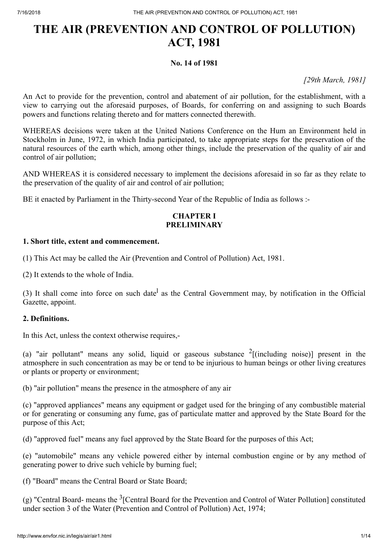# **No. 14 of 1981**

*[29th March, 1981]*

An Act to provide for the prevention, control and abatement of air pollution, for the establishment, with a view to carrying out the aforesaid purposes, of Boards, for conferring on and assigning to such Boards powers and functions relating thereto and for matters connected therewith.

WHEREAS decisions were taken at the United Nations Conference on the Hum an Environment held in Stockholm in June, 1972, in which India participated, to take appropriate steps for the preservation of the natural resources of the earth which, among other things, include the preservation of the quality of air and control of air pollution;

AND WHEREAS it is considered necessary to implement the decisions aforesaid in so far as they relate to the preservation of the quality of air and control of air pollution;

BE it enacted by Parliament in the Thirty-second Year of the Republic of India as follows :-

# **CHAPTER I PRELIMINARY**

# **1. Short title, extent and commencement.**

(1) This Act may be called the Air (Prevention and Control of Pollution) Act, 1981.

(2) It extends to the whole of India.

(3) It shall come into force on such date<sup>l</sup> as the Central Government may, by notification in the Official Gazette, appoint.

# **2. Definitions.**

In this Act, unless the context otherwise requires,-

(a) "air pollutant" means any solid, liquid or gaseous substance  $2$ [(including noise)] present in the atmosphere in such concentration as may be or tend to be injurious to human beings or other living creatures or plants or property or environment;

(b) "air pollution" means the presence in the atmosphere of any air

(c) "approved appliances" means any equipment or gadget used for the bringing of any combustible material or for generating or consuming any fume, gas of particulate matter and approved by the State Board for the purpose of this Act;

(d) "approved fuel" means any fuel approved by the State Board for the purposes of this Act;

(e) "automobile" means any vehicle powered either by internal combustion engine or by any method of generating power to drive such vehicle by burning fuel;

(f) "Board" means the Central Board or State Board;

(g) "Central Board- means the  $3$ [Central Board for the Prevention and Control of Water Pollution] constituted under section 3 of the Water (Prevention and Control of Pollution) Act, 1974;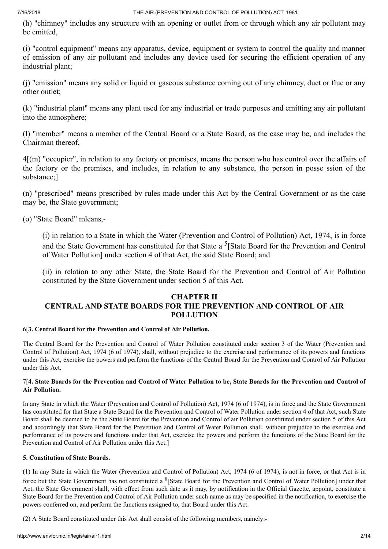(h) "chimney" includes any structure with an opening or outlet from or through which any air pollutant may be emitted,

(i) "control equipment" means any apparatus, device, equipment or system to control the quality and manner of emission of any air pollutant and includes any device used for securing the efficient operation of any industrial plant;

(j) "emission" means any solid or liquid or gaseous substance coming out of any chimney, duct or flue or any other outlet;

(k) "industrial plant" means any plant used for any industrial or trade purposes and emitting any air pollutant into the atmosphere;

(l) "member" means a member of the Central Board or a State Board, as the case may be, and includes the Chairman thereof,

4[(m) "occupier", in relation to any factory or premises, means the person who has control over the affairs of the factory or the premises, and includes, in relation to any substance, the person in posse ssion of the substance;]

(n) "prescribed" means prescribed by rules made under this Act by the Central Government or as the case may be, the State government;

(o) "State Board" mleans,-

(i) in relation to a State in which the Water (Prevention and Control of Pollution) Act, 1974, is in force and the State Government has constituted for that State a <sup>5</sup>[State Board for the Prevention and Control of Water Pollution] under section 4 of that Act, the said State Board; and

(ii) in relation to any other State, the State Board for the Prevention and Control of Air Pollution constituted by the State Government under section 5 of this Act.

# **CHAPTER II CENTRAL AND STATE BOARDS FOR THE PREVENTION AND CONTROL OF AIR POLLUTION**

# 6[**3. Central Board for the Prevention and Control of Air Pollution.**

The Central Board for the Prevention and Control of Water Pollution constituted under section 3 of the Water (Prevention and Control of Pollution) Act, 1974 (6 of 1974), shall, without prejudice to the exercise and performance of its powers and functions under this Act, exercise the powers and perform the functions of the Central Board for the Prevention and Control of Air Pollution under this Act.

# 7[4. State Boards for the Prevention and Control of Water Pollution to be, State Boards for the Prevention and Control of **Air Pollution.**

In any State in which the Water (Prevention and Control of Pollution) Act, 1974 (6 of 1974), is in force and the State Government has constituted for that State a State Board for the Prevention and Control of Water Pollution under section 4 of that Act, such State Board shall be deemed to be the State Board for the Prevention and Control of air Pollution constituted under section 5 of this Act and accordingly that State Board for the Prevention and Control of Water Pollution shall, without prejudice to the exercise and performance of its powers and functions under that Act, exercise the powers and perform the functions of the State Board for the Prevention and Control of Air Pollution under this Act.]

# **5. Constitution of State Boards.**

(1) In any State in which the Water (Prevention and Control of Pollution) Act, 1974 (6 of 1974), is not in force, or that Act is in force but the State Government has not constituted a <sup>8</sup>[State Board for the Prevention and Control of Water Pollution] under that Act, the State Government shall, with effect from such date as it may, by notification in the Official Gazette, appoint, constitute a State Board for the Prevention and Control of Air Pollution under such name as may be specified in the notification, to exercise the powers conferred on, and perform the functions assigned to, that Board under this Act.

(2) A State Board constituted under this Act shall consist of the following members, namely:-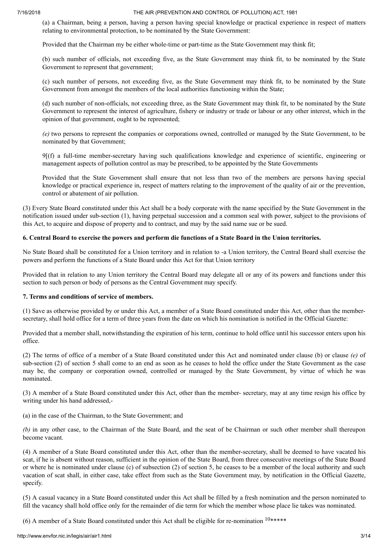(a) a Chairman, being a person, having a person having special knowledge or practical experience in respect of matters relating to environmental protection, to be nominated by the State Government:

Provided that the Chairman my be either whole-time or part-time as the State Government may think fit;

(b) such number of officials, not exceeding five, as the State Government may think fit, to be nominated by the State Government to represent that government;

(c) such number of persons, not exceeding five, as the State Government may think fit, to be nominated by the State Government from amongst the members of the local authorities functioning within the State;

(d) such number of non-officials, not exceeding three, as the State Government may think fit, to be nominated by the State Government to represent the interest of agriculture, fishery or industry or trade or labour or any other interest, which in the opinion of that government, ought to be represented;

*(e)* two persons to represent the companies or corporations owned, controlled or managed by the State Government, to be nominated by that Government;

9[(f) a full-time member-secretary having such qualifications knowledge and experience of scientific, engineering or management aspects of pollution control as may be prescribed, to be appointed by the State Governments

Provided that the State Government shall ensure that not less than two of the members are persons having special knowledge or practical experience in, respect of matters relating to the improvement of the quality of air or the prevention, control or abatement of air pollution.

(3) Every State Board constituted under this Act shall be a body corporate with the name specified by the State Government in the notification issued under sub-section (1), having perpetual succession and a common seal with power, subject to the provisions of this Act, to acquire and dispose of property and to contract, and may by the said name sue or be sued.

## 6. Central Board to exercise the powers and perform die functions of a State Board in the Union territories.

No State Board shall be constituted for a Union territory and in relation to -a Union territory, the Central Board shall exercise the powers and perform the functions of a State Board under this Act for that Union territory

Provided that in relation to any Union territory the Central Board may delegate all or any of its powers and functions under this section to such person or body of persons as the Central Government may specify.

### **7. Terms and conditions of service of members.**

(1) Save as otherwise provided by or under this Act, a member of a State Board constituted under this Act, other than the membersecretary, shall hold office for a term of three years from the date on which his nomination is notified in the Official Gazette:

Provided that a member shall, notwithstanding the expiration of his term, continue to hold office until his successor enters upon his office.

(2) The terms of office of a member of a State Board constituted under this Act and nominated under clause (b) or clause *(e)* of sub-section (2) of section 5 shall come to an end as soon as he ceases to hold the office under the State Government as the case may be, the company or corporation owned, controlled or managed by the State Government, by virtue of which he was nominated.

(3) A member of a State Board constituted under this Act, other than the member- secretary, may at any time resign his office by writing under his hand addressed,-

(a) in the case of the Chairman, to the State Government; and

*(b)* in any other case, to the Chairman of the State Board, and the seat of be Chairman or such other member shall thereupon become vacant.

(4) A member of a State Board constituted under this Act, other than the member-secretary, shall be deemed to have vacated his scat, if he is absent without reason, sufficient in the opinion of the State Board, from three consecutive meetings of the State Board or where he is nominated under clause (c) of subsection (2) of section 5, he ceases to be a member of the local authority and such vacation of scat shall, in either case, take effect from such as the State Government may, by notification in the Official Gazette, specify.

(5) A casual vacancy in a State Board constituted under this Act shall be filled by a fresh nomination and the person nominated to fill the vacancy shall hold office only for the remainder of die term for which the member whose place lie takes was nominated.

(6) A member of a State Board constituted under this Act shall be eligible for re-nomination  $10*****$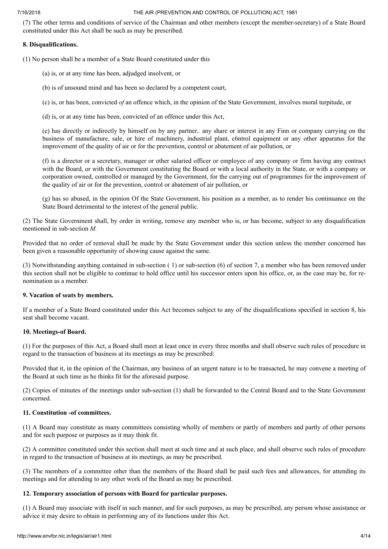(7) The other terms and conditions of service of the Chairman and other members (except the member-secretary) of a State Board constituted under this Act shall be such as may be prescribed.

# **8. Disqualifications.**

(1) No person shall be a member of a State Board constituted under this

- (a) is, or at any time has been, adjudged insolvent, or
- (b) is of unsound mind and has been so declared by a competent court,
- (c) is, or has been, convicted *of* an offence which, in the opinion of the State Government, involves moral turpitude, or
- (d) is, or at any time has been, convicted of an offence under this Act,

(e) has directly or indirectly by himself on by any partner.. any share or interest in any Finn or company carrying on the business of manufacture, sale, or hire of machinery, industrial plant, c6ntrol equipment or any other apparatus for the improvement of the quality of air or for the prevention, control or abatement of air pollution, or

(f) is a director or a secretary, manager or other salaried officer or employee of any company or firm having any contract with the Board, or with the Government constituting the Board or with a local authority in the State, or with a company or corporation owned, controlled or managed by the Government, for the carrying out of programmes for the improvement of the quality of air or for the prevention, control or abatement of air pollution, or

(g) has so abused, in the opinion Of the State Government, his position as a member, as to render his continuance on the State Board detrimental to the interest of the general public.

(2) The State Government shall, by order in writing, remove any member who is, or has become, subject to any disqualification mentioned in sub-section *M.*

Provided that no order of removal shall be made by the State Government under this section unless the member concerned has been given a reasonable opportunity of showing cause against the same.

(3) Notwithstanding anything contained in sub-section ( 1) or sub-section (6) of section 7, a member who has been removed under this section shall not be eligible to continue to hold office until his successor enters upon his office, or, as the case may be, for renomination as a member.

# **9. Vacation of seats by members.**

If a member of a State Board constituted under this Act becomes subject to any of the disqualifications specified in section 8, his seat shall become vacant.

## **10. Meetings-of Board.**

(1) For the purposes of this Act, a Board shall meet at least once in every three months and shall observe such rules of procedure in regard to the transaction of business at its meetings as may be prescribed:

Provided that it, in the opinion of the Chairman, any business of an urgent nature is to be transacted, he may convene a meeting of the Board at such time as he thinks fit for the aforesaid purpose.

(2) Copies of minutes of the meetings under sub-section (1) shall be forwarded to the Central Board and to the State Government concerned.

# **11. Constitution -of committees.**

(1) A Board may constitute as many committees consisting wholly of members or partly of members and partly of other persons and for such purpose or purposes as it may think fit.

(2) A committee constituted under this section shall meet at such time and at such place, and shall observe such rules of procedure in regard to the transaction of business at its meetings, as may be prescribed.

(3) The members of a committee other than the members of the Board shall be paid such fees and allowances, for attending its meetings and for attending to any other work of the Board as may be prescribed.

# **12. Temporary association of persons with Board for particular purposes.**

(1) A Board may associate with itself in such manner, and for such purposes, as may be prescribed, any person whose assistance or advice it may desire to obtain in performing any of its functions under this Act.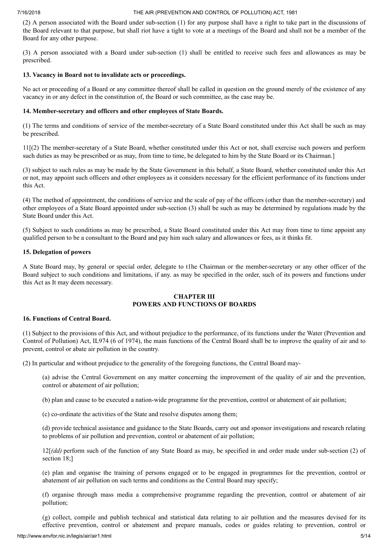(2) A person associated with the Board under sub-section (1) for any purpose shall have a right to take part in the discussions of the Board relevant to that purpose, but shall riot have a tight to vote at a meetings of the Board and shall not be a member of the Board for any other purpose.

(3) A person associated with a Board under sub-section (1) shall be entitled to receive such fees and allowances as may be prescribed.

# **13. Vacancy in Board not to invalidate acts or proceedings.**

No act or proceeding of a Board or any committee thereof shall be called in question on the ground merely of the existence of any vacancy in or any defect in the constitution of, the Board or such committee, as the case may be.

# **14. Member-secretary and officers and other employees of State Boards.**

(1) The terms and conditions of service of the member-secretary of a State Board constituted under this Act shall be such as may be prescribed.

11[(2) The member-secretary of a State Board, whether constituted under this Act or not, shall exercise such powers and perform such duties as may be prescribed or as may, from time to time, be delegated to him by the State Board or its Chairman.]

(3) subject to such rules as may be made by the State Government in this behalf, a State Board, whether constituted under this Act or not, may appoint such officers and other employees as it considers necessary for the efficient performance of its functions under this Act.

(4) The method of appointment, the conditions of service and the scale of pay of the officers (other than the member-secretary) and other employees of a State Board appointed under sub-section (3) shall be such as may be determined by regulations made by the State Board under this Act.

(5) Subject to such conditions as may be prescribed, a State Board constituted under this Act may from time to time appoint any qualified person to be a consultant to the Board and pay him such salary and allowances or fees, as it thinks fit.

# **15. Delegation of powers**

A State Board may, by general or special order, delegate to t1he Chairman or the member-secretary or any other officer of the Board subject to such conditions and limitations, if any. as may be specified in the order, such of its powers and functions under this Act as It may deem necessary.

# **CHAPTER III POWERS AND FUNCTIONS OF BOARDS**

# **16. Functions of Central Board.**

(1) Subject to the provisions of this Act, and without prejudice to the performance, of its functions under the Water (Prevention and Control of Pollution) Act, IL974 (6 of 1974), the main functions of the Central Board shall be to improve the quality of air and to prevent, control or abate air pollution in the country.

(2) In particular and without prejudice to the generality of the foregoing functions, the Central Board may-

(a) advise the Central Government on any matter concerning the improvement of the quality of air and the prevention, control or abatement of air pollution;

(b) plan and cause to be executed a nation-wide programme for the prevention, control or abatement of air pollution;

(c) co-ordinate the activities of the State and resolve disputes among them;

(d) provide technical assistance and guidance to the State Boards, carry out and sponsor investigations and research relating to problems of air pollution and prevention, control or abatement of air pollution;

12[*(dd)* perform such of the function of any State Board as may, be specified in and order made under sub-section (2) of section 18;]

(e) plan and organise the training of persons engaged or to be engaged in programmes for the prevention, control or abatement of air pollution on such terms and conditions as the Central Board may specify;

(f) organise through mass media a comprehensive programme regarding the prevention, control or abatement of air pollution;

(g) collect, compile and publish technical and statistical data relating to air pollution and the measures devised for its effective prevention, control or abatement and prepare manuals, codes or guides relating to prevention, control or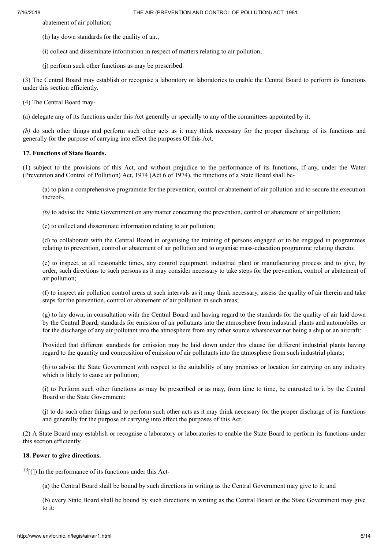abatement of air pollution;

- (h) lay down standards for the quality of air.,
- (i) collect and disseminate information in respect of matters relating to air pollution;
- (j) perform such other functions as may be prescribed.

(3) The Central Board may establish or recognise a laboratory or laboratories to enable the Central Board to perform its functions under this section efficiently.

(4) The Central Board may-

(a) delegate any of its functions under this Act generally or specially to any of the committees appointed by it;

*(b)* do such other things and perform such other acts as it may think necessary for the proper discharge of its functions and generally for the purpose of carrying into effect the purposes Of this Act.

## **17. Functions of State Boards.**

(1) subject to the provisions of this Act, and without prejudice to the performance of its functions, if any, under the Water (Prevention and Control of Pollution) Act, 1974 (Act 6 of 1974), the functions of a State Board shall be-

(a) to plan a comprehensive programme for the prevention, control or abatement of air pollution and to secure the execution thereof-,

*(b)* to advise the State Government on any matter concerning the prevention, control or abatement of air pollution;

(c) to collect and disseminate information relating to air pollution;

(d) to collaborate with the Central Board in organising the training of persons engaged or to be engaged in programmes relating to prevention, control or abatement of air pollution and to organise mass-education programme relating thereto;

(e) to inspect, at all reasonable times, any control equipment, industrial plant or manufacturing process and to give, by order, such directions to such persons as it may consider necessary to take steps for the prevention, control or abatement of air pollution;

(f) to inspect air pollution control areas at such intervals as it may think necessary, assess the quality of air therein and take steps for the prevention, control or abatement of air pollution in such areas;

(g) to lay down, in consultation with the Central Board and having regard to the standards for the quality of air laid down by the Central Board, standards for emission of air pollutants into the atmosphere from industrial plants and automobiles or for the discharge of any air pollutant into the atmosphere from any other source whatsoever not being a ship or an aircraft:

Provided that different standards for emission may be laid down under this clause for different industrial plants having regard to the quantity and composition of emission of air pollutants into the atmosphere from such industrial plants;

(h) to advise the State Government with respect to the suitability of any premises or location for carrying on any industry which is likely to cause air pollution;

(i) to Perform such other functions as may be prescribed or as may, from time to time, be entrusted to it by the Central Board or the State Government;

(j) to do such other things and to perform such other acts as it may think necessary for the proper discharge of its functions and generally for the purpose of carrying into effect the purposes of this Act.

(2) A State Board may establish or recognise a laboratory or laboratories to enable the State Board to perform its functions under this section efficiently.

## **18. Power to give directions.**

 $^{13}$ [(]) In the performance of its functions under this Act-

(a) the Central Board shall be bound by such directions in writing as the Central Government may give to it; and

(b) every State Board shall be bound by such directions in writing as the Central Board or the State Government may give to it: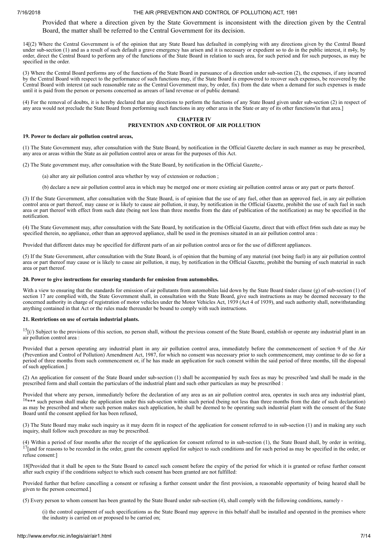Provided that where a direction given by the State Government is inconsistent with the direction given by the Central Board, the matter shall be referred to the Central Government for its decision.

14[(2) Where the Central Government is of the opinion that any State Board has defaulted in complying with any directions given by the Central Board under sub-section (1) and as a result of such default a grave emergency has arisen and it is necessary or expedient so to do in the public interest, it m4y, by order, direct the Central Board to perform any of the functions of the State Board in relation to such area, for such period and for such purposes, as may be specified in the order.

(3) Where the Central Board performs any of the functions of the State Board in pursuance of a direction under sub-section (2), the expenses, if any incurred by the Central Board with respect to the performance of such functions may, if the State Board is empowered to recover such expenses, be recovered by the Central Board with interest (at such reasonable rate as the Central Government may, by order, fix) from the date when a demand for such expenses is made until it is paid from the person or persons concerned as arrears of land revenue or of public demand.

(4) For the removal of doubts, it is hereby declared that any directions to perform the functions of any State Board given under sub-section (2) in respect of any area would not preclude the State Board from performing such functions in any other area in the State or any of its other functions'in that area.]

### **CHAPTER IV PREVENTION AND CONTROL OF AIR POLLUTION**

#### **19. Power to declare air pollution control areas,**

(1) The State Government may, after consultation with the State Board, by notification in the Official Gazette declare in such manner as may be prescribed, any area or areas within the State as air pollution control area or areas for the purposes of this Act.

(2) The State government may, after consultation with the State Board, by notification in the Official Gazette,-

(a) alter any air pollution control area whether by way of extension or reduction ;

(b) declare a new air pollution control area in which may be merged one or more existing air pollution control areas or any part or parts thereof.

(3) If the State Government, after consultation with the State Board, is of opinion that the use of any fuel, other than an approved fuel, in any air pollution control area or part thereof, may cause or is likely to cause air pollution, it may, by notification in the Official Gazette, prohibit the use of such fuel in such area or part thereof with effect from such date (being not less than three months from the date of publication of the notification) as may be specified in the notification.

(4) The State Government may, after consultation with the Sate Board, by notification in the Official Gazette, direct that with effect fr6m such date as may be specified therein, no appliance, other than an approved appliance, shall be used in the premises situated in an air pollution control area :

Provided that different dates may be specified for different parts of an air pollution control area or for the use of different appliances.

(5) If the State Government, after consultation with the State Board, is of opinion that the burning of any material (not being fuel) in any air pollution control area or part thereof may cause or is likely to cause air pollution, it may, by notification in the Official Gazette, prohibit the burning of such material in such area or part thereof.

#### **20. Power to give instructions for ensuring standards for emission from automobiles.**

With a view to ensuring that the standards for emission of air pollutants from automobiles laid down by the State Board tinder clause (g) of sub-section (1) of section 17 are complied with, the State Government shall, in consultation with the State Board, give such instructions as may be deemed necessary to the concerned authority in charge of registration of motor vehicles under the Motor Vehicles Act, 1939 (Act 4 of 1939), and such authority shall, notwithstanding concerned authority in charge of registration of motor vehicles anything contained in that Act or the rules made thereunder be bound to comply with such instructions.

#### **21. Restrictions on use of certain industrial plants.**

 $15$ [(/) Subject to the provisions of this section, no person shall, without the previous consent of the State Board, establish or operate any industrial plant in an air pollution control area :

Provided that a person operating any industrial plant in any air pollution control area, immediately before the commencement of section 9 of the Air (Prevention and Control of Pollution) Amendment Act, 1987, for which no consent was necessary prior to such commencement, may continue to do so for a period of three months from such commencement or, if he has made an application for such consent within the said period of three months, till the disposal of such application.]

(2) An application for consent of the State Board under sub-section (1) shall be accompanied by such fees as may bc prescribed 'and shall be made in the prescribed form and shall contain the particulars of the industrial plant and such other particulars as may be prescribed :

Provided that where any person, immediately before the declaration of any area as an air pollution control area, operates in such area any industrial plant, 16\*\*\* such person shall make the application under this sub-section within such period (being not less than three months from the date of such declaration) as may be prescribed and where such person makes such application, he shall be deemed to be operating such industrial plant with the consent of the State Board until the consent applied for has been refused,

(3) The State Board may make such inquiry as it may deem fit in respect of the application for consent referred to in sub-section (1) and in making any such inquiry, shall follow such procedure as may be prescribed.

(4) Within a period of four months after the receipt of the application for consent referred to in sub-section (1), the State Board shall, by order in writing,  $17$ [and for reasons to be recorded in the order, grant the consent applied for subject to such conditions and for such period as may be specified in the order, or refuse consent:]

18[Provided that it shall be open to the State Board to cancel such consent before the expiry of the period for which it is granted or refuse further consent after such expiry if the conditions subject to which such consent has been granted are not fulfilled:

Provided further that before cancelling a consent or refusing a further consent under the first provision, a reasonable opportunity of being heared shall be given to the person concerned.]

(5) Every person to whom consent has been granted by the State Board under sub-section (4), shall comply with the following conditions, namely -

(i) the control equipment of such specifications as the State Board may approve in this behalf shall be installed and operated in the premises where the industry is carried on or proposed to be carried on;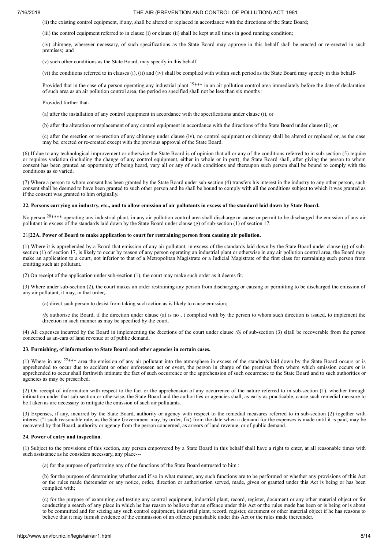(ii) the existing control equipment, if any, shall be altered or replaced in accordance with the directions of the State Board;

(iii) the control equipment referred to in clause (i) or clause (ii) shall be kept at all times in good running condition;

(iv) chimney, wherever necessary, of such specifications as the State Board may approve in this behalf shall be erected or re-erected in such premises; .and

(v) such other conditions as the State Board, may specify in this behalf,

(vi) the conditions referred to in clauses (i), (ii) and (iv) shall be complied with within such period as the State Board may specify in this behalf-

Provided that in the case of a person operating any industrial plant  $19***$  in an air pollution control area immediately before the date of declaration of such area as an air pollution control area, the period so specified shall not be less than six months :

#### Provided further that-

(a) after the installation of any control equipment in accordance with the specifications under clause (i), or

(b) after the alteration or replacement of any control equipment in accordance with the directions of the State Board under clause (ii), or

(c) after the erection or re-erection of any chimney under clause (iv), no control equipment or chimney shall be altered or replaced or, as the case may be, erected or re-created except with the previous approval of the State Board.

(6) If due to any technological improvement or otherwise the State Board is of opinion that all or any of the conditions referred to in sub-section (5) require or requires variation (including the change of any control equipment, either in whole or in part), the State Board shall, after giving the person to whom consent has been granted an opportunity of being heard, vary all or any of such conditions and thereupon such person shall be bound to comply with the conditions as so varied.

(7) Where a person to whom consent has been granted by the State Board under sub-section (4) transfers his interest in the industry to any other person, such consent shall be deemed to have been granted to such other person and he shall be bound to comply with all the conditions subject to which it was granted as if the consent was granted to him originally.

### 22. Persons carrying on industry, etc., and to allow emission of air pollutants in excess of the standard laid down by State Board.

No person <sup>20\*\*\*\*</sup> operating any industrial plant, in any air pollution control area shall discharge or cause or permit to be discharged the emission of any air pollutant in excess of the standards laid down by the State Board under clause (g) of sub-section (1) of section 17.

#### 21**[22A. Power of Board to make application to court for restraining person from causing air pollution.**

(1) Where it is apprehended by a Board that emission of any air pollutant, in excess of the standards laid down by the State Board under clause (g) of subsection (1) of section 17, is likely to occur by reason of any person operating an industrial plant or otherwise in any air pollution control area, the Board may make an application to a court, not inferior to that of a Metropolitan Magistrate or a Judicial Magistrate of the first class for restraining such person from emitting such air pollutant.

(2) On receipt of the application under sub-section (1), the court may make such order as it deems fit.

(3) Where under sub-section (2), the court makes an order restraining any person from discharging or causing or permitting to be discharged the emission of any air pollutant, it may, in that order,-

(a) direct such person to desist from taking such action as is likely to cause emission;

*(b)* authorise the Board, if the direction under clause (a) is no , t complied with by the person to whom such direction is issued, to implement the direction in such manner as may be specified by the court.

(4) All expenses incurred by the Board in implementing the &ections of the court under clause *(b)* of sub-section (3) sl)all be recoverable from the person concerned as an-ears of land revenue or of public demand.

#### **23. Furnishing, of information to State Board and other agencies in certain cases.**

(1) Where in any  $22***$  area the emission of any air pollutant into the atmosphere in excess of the standards laid down by the State Board occurs or is apprehended to occur due to accident or other unforeseen act or event, the person in charge of the premises from where which emission occurs or is apprehended to occur shall forthwith intimate the fact of such occurrence or the apprehension of such occurrence to the State Board and to such authorities or agencies as may be prescribed.

(2) On receipt of information with respect to the fact or the apprehension of any occurrence of the nature referred to in sub-section (1), whether through intimation under that sub-section or otherwise, the State Board and the authorities or agencies shall, as early as practicable, cause such remedial measure to be I aken as are necessary to mitigate the emission of such air pollutants.

(3) Expenses, if any, incurred by the State Board, authority or agency with respect to the remedial measures referred to in sub-section (2) together with interest ("t such reasonable rate, as the State Government may, by order, fix) from the date when a demand for the expenses is made until it is paid, may be recovered by that Board, authority or agency from the person concerned, as arrears of land revenue, or of public demand.

#### **24. Power of entry and inspection.**

(1) Subject to the provisions of this section, any person empowered by a State Board in this behalf shall have a right to enter, at all reasonable times with such assistance as he considers necessary, any place---

(a) for the purpose of performing any of the functions of the State Board entrusted to him :

(b) for the purpose of determining whether and if so in what manner, any such functions are to be performed or whether any provisions of this Act or the rules made thereunder or any notice, order, direction or authorisation served, made, given or granted under this Act is being or has been complied with;

(c) for the purpose of examining and testing any control equipment, industrial plant, record, register, document or any other material object or for conducting a search of any place in which he has reason to believe that an offence under this Act or the rules made has been or is being or is about to be committed and for seizing any such control equipment, industrial plant, record, register, document or other material object if he has reasons to believe that it may furnish evidence of the commission of an offence punishable under this Act or the rules made thereunder.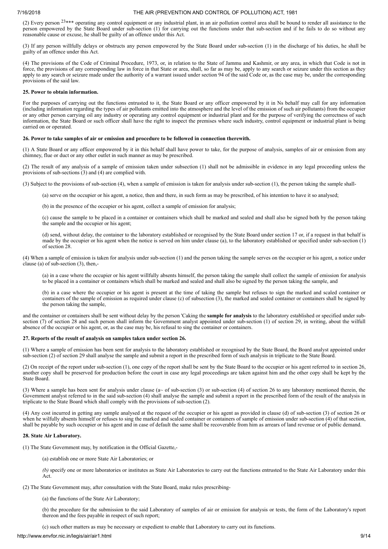(2) Every person  $23***$  operating any control equipment or any industrial plant, in an air pollution control area shall be bound to render all assistance to the person empowered by the State Board under sub-section (1) for carrying out the functions under that sub-section and if he fails to do so without any reasonable cause or excuse, he shall be guilty of an offence under this Act.

(3) If any person willfully delays or obstructs any person empowered by the State Board under sub-section (1) in the discharge of his duties, he shall be guilty of an offence under this Act.

(4) The provisions of the Code of Criminal Procedure, 1973, or, in relation to the State of Jammu and Kashmir, or any area, in which that Code is not in force, the provisions of any corresponding law in force in that State or area, shall, so far as may be, apply to any search or seizure under this section as they apply to any search or seizure made under the authority of a warrant issued under section 94 of the said Code or, as the case may be, under the corresponding provisions of the said law.

#### **25. Power to obtain information.**

For the purposes of carrying out the functions entrusted to it, the State Board or any officer empowered by it in Ns behalf may call for any information (including information regarding the types of air pollutants emitted into the atmosphere and the level of the emission of such air pollutants) from the occupier or any other person carrying oil any industry or operating any control equipment or industrial plant and for the purpose of verifying the correctness of such information, the State Board or such officer shall have the right to inspect the premises where such industry, control equipment or industrial plant is being carried on or operated.

#### **26. Power to take samples of air or emission and procedure to be followed in connection therewith.**

(1) A State Board or any officer empowered by it in this behalf shall have power to take, for the purpose of analysis, samples of air or emission from any chimney, flue or duct or any other outlet in such manner as may be prescribed.

(2) The result of any analysis of a sample of emission taken under subsection (1) shall not be admissible in evidence in any legal proceeding unless the provisions of sub-sections (3) and (4) are complied with.

(3) Subject to the provisions of sub-section (4), when a sample of emission is taken for analysis under sub-section (1), the person taking the sample shall-

(a) serve on the occupier or his agent, a notice, then and there, in such form as may be prescribed, of his intention to have it so analysed;

(b) in the presence of the occupier or his agent, collect a sample of emission for analysis;

(c) cause the sample to be placed in a container or containers which shall be marked and sealed and shall also be signed both by the person taking the sample and the occupier or his agent;

(d) send, without delay, the container to the laboratory established or recognised by the State Board under section 17 or, if a request in that behalf is made by the occupier or his agent when the notice is served on him under clause (a), to the laboratory established or specified under sub-section (1) of section 28.

(4) When a sample of emission is taken for analysis under sub-section (1) and the person taking the sample serves on the occupier or his agent, a notice under clause (a) of sub-section (3), then,-

(a) in a case where the occupier or his agent willfully absents himself, the person taking the sample shall collect the sample of emission for analysis to be placed in a container or containers which shall be marked and sealed and shall also be signed by the person taking the sample, and

(b) in a case where the occupier or his agent is present at the time of taking the sample but refuses to sign the marked and scaled container or containers of the sample of emission as required under clause (c) of subsection (3), the marked and sealed container or containers shall be signed by the person taking the sample,

and the container or containers shall be sent without delay by the person 'Caking the **sample for analysis** to the laboratory established or specified under subsection (7) of section 28 and such person shall inform the Government analyst appointed under sub-section (1) of section 29, in writing, about the wilfull absence of the occupier or his agent, or, as the case may be, his refusal to sing the container or containers.

### **27. Reports of the result of analysis on samples taken under section 26.**

(1) Where a sample of emission has been sent for analysis to the laboratory established or recognised by the State Board, the Board analyst appointed under sub-section (2) of section 29 shall analyse the sample and submit a report in the prescribed form of such analysis in triplicate to the State Board.

(2) On receipt of the report under sub-section (1), one copy of the report shall be sent by the State Board to the occupier or his agent referred to in section 26, another copy shall be preserved for production before the court in case any legal proceedings are taken against him and the other copy shall be kept by the State Board.

(3) Where a sample has been sent for analysis under clause (a $\sim$  of sub-section (3) or sub-section (4) of section 26 to any laboratory mentioned therein, the Government analyst referred to in the said sub-section (4) shall analyse the sample and submit a report in the prescribed form of the result of the analysis in triplicate to the State Board which shall comply with the provisions of sub-section (2).

(4) Any cost incurred in getting any sample analysed at the request of the occupier or his agent as provided in clause (d) of sub-section (3) of section 26 or when he wilfully absents himself or refuses to sing the marked and scaled container or containers of sample of emission under sub-section (4) of that section, shall be payable by such occupier or his agent and in case of default the same shall be recoverable from him as arrears of land revenue or of public demand.

### **28. State Air Laboratory.**

(1) The State Government may, by notification in the Official Gazette,-

(a) establish one or more State Air Laboratories; or

*(b)* specify one or more laboratories or institutes as State Air Laboratories to carry out the functions entrusted to the State Air Laboratory under this Act.

(2) The State Government may, after consultation with the State Board, make rules prescribing-

(a) the functions of the State Air Laboratory;

(b) the procedure for the submission to the said Laboratory of samples of air or emission for analysis or tests, the form of the Laboratory's report thereon and the fees payable in respect of such report;

(c) such other matters as may be necessary or expedient to enable that Laboratory to carry out its functions.

http://www.envfor.nic.in/legis/air/air1.html 9/14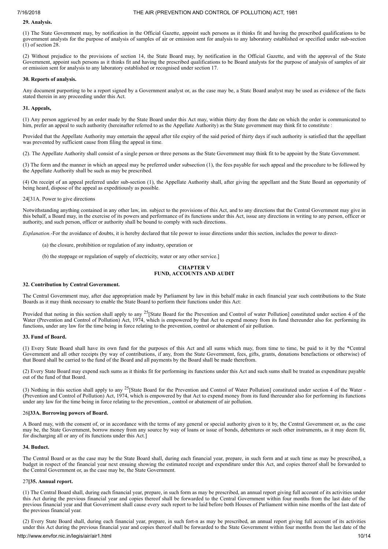### **29. Analysis.**

(1) The State Government may, by notification in the Official Gazette, appoint such persons as it thinks fit and having the prescribed qualifications to be government analysts for the purpose of analysis of samples of air or emission sent for analysis to any laboratory established or specified under sub-section (1) of section 28.

(2) Without prejudice to the provisions of section 14, the State Board may, by notification in the Official Gazette, and with the approval of the State Government, appoint such persons as it thinks fit and having the prescribed qualifications to be Board analysts for the purpose of analysis of samples of air or emission sent for analysis to any laboratory established or recognised under section 17.

### **30. Reports of analysis.**

Any document purporting to be a report signed by a Government analyst or, as the case may be, a Statc Board analyst may be used as evidence of the facts stated therein in any proceeding under this Act.

### **31. Appeals,**

(1) Any person aggrieved by an order made by the State Board under this Act may, within thirty day from the date on which the order is communicated to him, prefer an appeal to such authority (hereinafter referred to as the Appellate Authority) as the State government may think fit to constitute :

Provided that the Appellate Authority may entertain the appeal after tile expiry of the said period of thirty days if such authority is satisfied that the appellant was prevented by sufficient cause from filing the appeal in time.

(2). The Appellate Authority shall consist of a single person or three persons as the State Government may think fit to be appoint by the State Government.

(3) The form and the manner in which an appeal may be preferred under subsection (1), the fees payable for such appeal and the procedure to be followed by the Appellate Authority shall be such as may be prescribed.

(4) On receipt of an appeal preferred under sub-section (1), the Appellate Authority shall, after giving the appellant and the State Board an opportunity of being heard, dispose of the appeal as expeditiously as possible.

24[31A. Power to give directions

Notwithstanding anything contained in any other law, im. subject to the provisions of this Act, and to any directions that the Central Government may give in this behalf, a Board may, in the exercise of its powers and performance of its functions under this Act, issue any directions in writing to any person, officer or authority, and such person, officer or authority shall be bound to comply with such directions.

*Explanation.-*For the avoidance of doubts, it is hereby declared that tile power to issue directions under this section, includes the power to direct-

- (a) the closure, prohibition or regulation of any industry, operation or
- (b) the stoppage or regulation of supply of electricity, water or any other service.]

### **CHAPTER V FUND, ACCOUNTS AND AUDIT**

### **32. Contribution by Central Government.**

The Central Government may, after due appropriation made by Parliament by law in this behalf make in each financial year such contributions to the State Boards as it may think necessary to enable the State Board to perform their functions under this Act:

Provided that noting in this section shall apply to any  $25$ [State Board for the Prevention and Control of water Pollution] constituted under section 4 of the Water (Prevention and Control of Pollution) Act, 1974, which is empowered by that Act to expend money from its fund thereunder also for. performing its functions, under any law for the time being in force relating to the prevention, control or abatement of air pollution.

### **33. Fund of Board.**

(1) Every State Board shall have its own fund for the purposes of this Act and all sums which may, from time to time, be paid to it by the \*Central Government and all other receipts (by way of contributions, if any, from the State Government, fees, gifts, grants, donations benefactions or otherwise) of that Board shall be carried to the fund of the Board and all payments by the Board shall be made therefrom.

(2) Every State Board may expend such sums as it thinks fit for performing its functions under this Act and such sums shall be treated as expenditure payable out of the fund of that Board.

(3) Nothing in this section shall apply to any  $^{25}$ [State Board for the Prevention and Control of Water Pollution] constituted under section 4 of the Water -(Prevention and Control of Pollution) Act, 1974, which is empowered by that Act to expend money from its fund thereunder also for performing its functions under any law for the time being in force relating to the prevention., control or abatement of air pollution.

### 26**[33A. Borrowing powers of Board.**

A Board may, with the consent of, or in accordance with the terms of any general or special authority given to it by, the Central Government or, as the case may be, the State Government, borrow money from any source by way of loans or issue of bonds, debentures or such other instruments, as it may deem fit, for discharging all or any of its functions under this Act.]

### **34. Buduct.**

The Central Board or as the case may be the State Board shall, during each financial year, prepare, in such form and at such time as may be prescribed, a budget in respect of the financial year next ensuing showing the estimated receipt and expenditure under this Act, and copies thereof shall be forwarded to the Central Government or, as the case may be, the State Government.

### 27**[35. Annual report.**

(1) The Central Board shall, during each financial year, prepare, in such form as may be prescribed, an annual report giving full account of its activities under this Act during the previous financial year and copies thereof shall be forwarded to the Central Government within four months from the last date of the previous financial year and that Goverriment shall cause every such report to be laid before both Houses of Parliament within nine months of the last date of the previous financial year.

(2) Every State Board shall, during each financial year, prepare, in such fort-n as may be prescribed, an annual report giving full account of its activities under this Act during the previous financial year and copies thereof shall be forwarded to the State Government within four months from the last date of the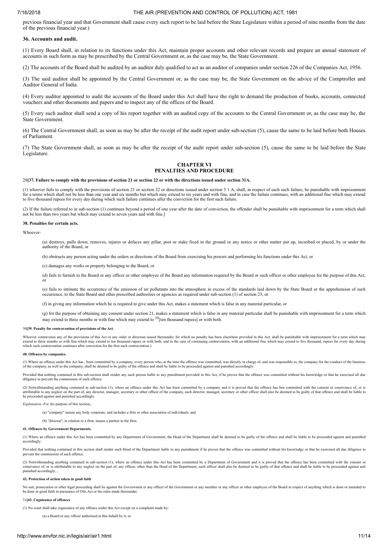previous financial year and that Government shall cause every such report to be laid before the State Legislature within a period of nine months from the date of the previous financial year.)

#### **36. Accounts and audit.**

(1) Every Board shall, in relation to its functions under this Act, maintain proper accounts and other relevant records and prepare an annual statement of accounts in such form as may be prescribed by the Central Government or, as the case may be, the State Government.

(2) The accounts of the Board shall be audited by an auditor duly qualified to act as an auditor of companies under section 226 of the Companies Act, 1956.

(3) The said auditor shall be appointed by the Central Government or, as the case may be, the State Government on the advice of the Comptroller and Auditor General of India.

(4) Every auditor appointed to audit the accounts of the Board under this Act shall have the right to demand the production of books, accounts, connected vouchers and other documents and papers and to inspect any of the offices of the Board.

(5) Every such auditor shall send a copy of his report together with an audited copy of the accounts to the Central Government or, as the case may be, the State Government.

(6) The Central Government shall, as soon as may be after the receipt of the audit report under sub-section (5), cause the same to be laid before both Houses of Parliament.

(7) The State Government shall, as soon as may be after the receipt of the audit report under sub-section (5), cause the same to be laid before the State Legislature.

### **CHAPTER VI PENALTIES AND PROCEDURE**

#### 28**[37. Failure to comply with the provisions of section 21 or section 22 or with the directions issued under section 31A.**

(1) whoever fails to comply with the provisions of section 21 or section 22 or directions issued under section 3 1 A, shall, in respect of each such failure, be punishable with imprisonment for a terms which shall not be less than one year and six months but which may extend to six years and with fine, and in case the failure continues, with an additional fine which may extend<br>to five thousand rupees for ever

(2) If the failure referred to in sub-section (1) continues beyond a period of one year after the date of conviction, the offender shall be punishable with imprisonment for a term which shall<br>not be less than two years but

#### **38. Penalties for certain acts.**

Whoever-

(a) destroys, pulls down, removes, injures or defaces any pillar, post or stake fixed in the ground or any notice or other matter put up, incsribed or placed, by or under the authority of the Board, or

(b) obstructs any person acting under the orders or directions of the Board from exercising his powers and performing his functions under this Act, or

(c) damages any works or property belonging to the Board, or

(d) fails to furnish to the Board or any officer or other employee of the Board any information required by the Board or such officer or other employee for the purpose of this Act, or

(e) fails to intimate the occurrence of the emission of air pollutants into the atmosphere in excess of the standards laid down by the State Board or the apprehension of such occurrence, to the State Board and other prescribed authorities or agencies as required under sub-section (1) of section 23, or

(f) in giving any information which he is required to give under this Act, makes a statement which is false in any material particular, or

(g) for the purpose of obtaining any consent under section 21, makes a statement which is false in any material particular shall be punishable with imprisonment for a term which may extend to three months or with fine which may extend to  $29$  [ten thousand rupees] or with both.

#### 30**[39. Penalty for contravention of provisions of the Act.**

Whoever contravenes any of the provisions of this Act or any order or direction issued thereunder, for which no penalty has been elsewhere provided in this Act, shall be punishable with imprisonment for a term which may extend to three months or with fine which may extend to ten thousand rupees or with both, and in the case of continuing contravention, with an additional fine which may extend to five thousand, rupees for every day during<br>

#### **40. Offences by companies.**

(1) Where an offence under this Act has , been committed by a company, every person who, at the time the offence was committed, was directly in charge of, and was responsible to, the company for the conduct of the business

Provided that nothing contained in this sub-section shall render any such person liable to any punishment provided in this Act, if he proves that the offence was committed without his knowledge or that he exercised all due diligence to prevent the commission of such offence.

(2) Notwithstanding anything contained in sub-section (1), where an offence under this Act has been committed by a company and it is proved that the offence has ben committed with the consent or connivance of, or is<br>attrib be proceeded against and punished accordingly.

*Explanation.-For the* purpose of this section,-

(a) "company" means any body corporate, and includes a firin or other association of individuals; and

(b) "director", in relation to a firm, means a partner in the firm.

#### **41. Offences by Government Departments.**

(1) Where an offence under this Act has been committed by any Department of Government, the Head of the Department shall be deemed to be guilty of the offence and shall be liable to be proceeded against and punished accordingly:

Provided that nothing contained in this section shall render such Head of the Department liable to any punishment if he proves that the offence was committed without his knowledge or that he exercised all due diligence to prevent the commission of such offence.

(2) Notwithstanding anything contained in sub-section (1), where an offence under this Act has been committed by a Department of Government and it is proved that the offence has been committed with the consent or<br>connivanc punished accordingly. ,

#### **42. Protection of action taken in good faith**

No suit, prosecution or other legal proceeding shall lie against the Goverwnent er any officer of the Government or any member or any officer or other employee of the Board in respect of anything which is done or intended to be done in good faith in pursuance of Otis Act or the rules made thereunder.

#### 31**[43. Cognizance of offences**

(1) No court shall take cognizance of any offence under this Act except on a complaint made by-

(a) a Board or any officer authorised in this behalf by it; or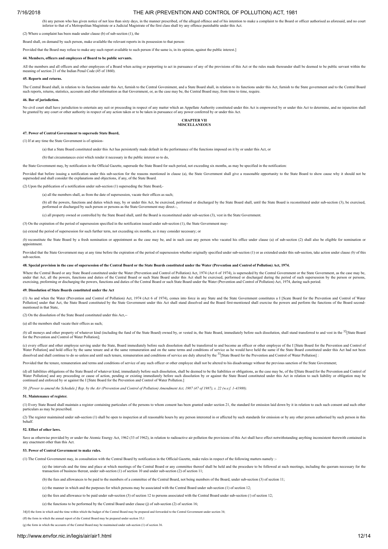(b) any person who has given notice of not less than sixty days, in the manner prescribed, of the alleged offence and of his intention to make a complaint to the Board or officer authorised as aforesaid, and no court<br>infer

(2) Where a complaint has been made under clause (b) of sub-section (1), the

Board shall, on demand by such person, make available the relevant reports in its possession to that person:

Provided that the Board may refuse to make any such report available to such person if the same is, in its opinion, against the public interest.]

#### **44. Members, officers and employees of Board to be public servants.**

All the members and all officers and other employees of a Board when acting or purporting to act in pursuance of any of the provisions of this Act or the rules made thereunder shall be deemed to be public servant within th meaning of section 21 of the Indian Penal Code (45 of 1860).

#### **45. Reports and returns.**

The Central Board shall, in relation to its functions under this Act, furnish to the Central Goveniment, and a State Board shall, in relation to its functions under this Act, furnish to the State government and to the Cent such reports, returns, statistics, accounts and other information as that Government, or, as the case may be, the Central Board may, from time to time, require.

#### **46. Bar of jurisdiction.**

No civil court shall have jurisdiction to entertain any suit or proceeding in respect of any matter which an Appellate Authority constituted under this Act is empowered by or under this Act to determine, and no injunction be granted by any court or other authority in respect of any action taken or to be taken in pursuance of any power conferred by or under this Act.

#### **CHAPTER VII MISCELLANEOUS**

#### **47. Power of Central Government to supersede State Board,**

(1) If at any time the State Government is of opinion-

(a) that a State Board constituted under this Act has persistently made default in the performance of the functions imposed on it by or under this Act, or

(b) that circumstances exist which render it necessary in the public interest so to do,

the State Government may, by notification in the Official Gazette, supersede the State Board for such period, not exceeding six months, as may be specified in the notification:

Provided that before issuing a notification under this sub-section for the reasons mentioned in clause (a), the State Government shall give a reasonable opportunity to the State Board to show cause why it should not be superseded and shall consider the explanations and objections, if any, of the State Board.

(2) Upon the publication of a notification under sub-section (1) superseding the State Board,-

(a) all the members shall, as from the date of supersession, vacate their offices as such;

(b) all the powers, functions and duties which may, by or under this Act, be exercised, performed or discharged by the State Board shall, until the State Board is reconstituted under sub-section (3), be exercised, performe

(c) all property owned or controlled by the State Board shall, until the Board is reconstituted under sub-section (3), vest in the State Government.

(3) On the expiration of the period of supersession specified in the notification issued under sub-section (1), the State Government may-

(a) extend the period of supersession for such further term, not exceeding six months, as it may consider necessary; or

*(b)* reconstitute the State Board by a fresh nomination or appointment as the case may be, and in such case any person who vacated his office under clause (a) of sub-section (2) shall also be eligible for nomination or appointment.

Provided that the State Government may at any time before the expiration of the period of supersession whether originally specified under sub-section (1) or as extended under this sub-section, take action under clause (b) sub-section.

#### 48. Special provision in the case of supersession of the Central Board or the State Boards constituted under the Water (Prevention and Control of Pollution) Act, 1974.

Where the Central Board or any State Board constituted under the Water (Prevention and Control of Pollution) Act, 1974 (Act 6 of 1974), is superseded by the Central Government or the State Government, as the case may be, under that Act, all the powers, functions and duties of the Central Board or such State Board under this Act shall be exercised, performed or discharged during the period of such supersession by the person or persons,<br>exer

#### **49. Dissolution of State Boards constituted under the Act**

(1) As and when the Water (Prevention and Control of Pollution) Act, 1974 (Act 6 of 1974), comes into force in any State and the State Government constitutes a I [Scate Board for the Prevention and Control of Water Pollution] under that Act, the State Board constituted by the State Government under this Act shall stand dissolved and the Board first-mentioned shall exercise the powers and perform the functions of the Board secondentioned in that State

(2) On the dissolution of the State Board constituted under this Act,--

(a) all the members shall vacate their offices as such;

(b) all moneys and other property of whatever kind (including the fund of the State Board) owned by, or vested in, the State Board, immediately before such dissolution, shall stand transferred to and vest in the <sup>32</sup>[State for the Prevention and Control of Water Pollution];

(c) every officer and other employee serving under the State, Board immediately before such dissolution shall be transferred to and become an officer or other employee of the I [State Board for the Prevention and Control o dissolved and shall continue to do so unless and until such tenure, remuneration and conditions of service are duly altered by the <sup>33</sup>[State Board for the Prevention and Control of Water Pollution]:

Provided that the tenure, remuneration and terms and conditions of service of any such officer or other employee shall not be altered to his disadvantage without the previous sanction of the State Government;

(d) all liabilities obligations of the State Board of whatever kind, immediately before such dissolution, shall be deemed to be the liabilities or obligations, as the case may be, of the I[State Board for the Prevention an Water Pollution] and any proceeding or cause of action, pending or existing immediately before such dissolution by or against the State Board constituted under this Act in relation to such liability or obligation may be continued and enforced by or against the I [State Board for the Prevention and Control of Water Pollution.]

50. [Power to amend the Schedule.] Rep. by the Air (Prevention and Control of Pollution) Amendment Act, 1987 (47 of 1987), s. 22 (w.e.f. 1-41988).

#### **51. Maintenance of register.**

(1) Every State Board shall maintain a register containing particulars of the persons to whom consent has been granted under section 21, the standard for emission laid down by it in relation to each such consent and such o particulars as may be prescribed.

(2) The register maintained under sub-section (1) shall be open to inspection at all reasonable hours by any person interested in or affected by such standards for emission or by any other person authorised by such person behalf.

#### **52. Effect of other laws.**

Save as otherwise provided by or under the Atomic Energy Act, 1962 (33 of 1962), in relation to radioactive air pollution the provisions of this Act shall have effect notwithstanding anything inconsistent therewith contain any enactment other than this Act.

#### **53. Power of Central Government to make rules.**

(1) The Central Government may, in consultation with the Central Board by notification in the Official Gazette, make rules in respect of the following matters namely :-

(a) the intervals and the time and place at which meetings of the Central Board or any committee thereof shall be held and the procedure to be followed at such meetings, including the quorum necessary for the transaction of business thereat, under sub-section  $(1)$  of section 10 and under sub-section  $(2)$  of section  $11$ ;

(b) the fees and allowances to be paid to the members of a committee of the Central Board, not being members of the Board, under sub-section (3) of section 11;

(c) the manner in which and the purposes for which persons may be associated with the Central Board under sub-section (1) of section 12;

(a) the fees and allowance to be paid under sub-section (3) of section 12 to persons associated with the Central Board under sub-section (/) of section 12;

(e) the functions to be performed by the Central Board under clause (j) of sub-section (2) of section 16;

34[(f) the form in which and the time within which the budget of the Central Board may be prepared and forwarded to the Central Government under section 34;

(ff) the form in which the annual report of die Central Board may be prepared under section 35;1

(g) the form in which the accounts of the Central Board may be maintained under sub-section (1) of section 36.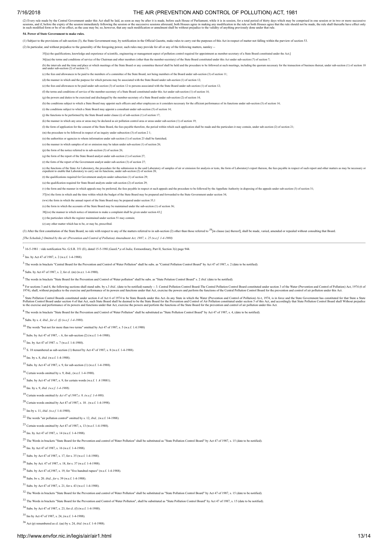(2) Every rule made by the Central Government under this Act shall be laid, as soon as may be after it is made, before each House of Parliament, while it is in session, for a total period of thirty days which may be compri

#### **54. Power of State Government to make rules.**

(1) Subject to the provisions of sub-section (3), the State Government may, by notification in the Official Gazette, make rules to carry out the purposes of this Act in respect of matter not falling within the purview of s

(2) In particular, and without prejudice to the generality of the foregoing power, such rules may provide for all or any of the following matters, namley --

35[(a) the qualifications, knowledge and experience of scientific, engineering or management aspect of pollution control required for appointment as member-secretary of a State Board constituted under the Act;]

36[(aa) the terms and conditions of service of the Chairman and other members (other than the member-secretary) of the State Board constituted under this Act under sub-section (7) of section 7;

(b) he intervals and the time and place at which meetings of the State Board or any committee thereof shall be held and the procedure to be followed at such meetings, including the quorum necessary for the transaction of b

(c) the fees and allowances to be paid to the members of a committee of the State Board, not being members of the Board under sub-section (3) of section 11;

(d) the manner in which and the purpose for which persons may be associated with the State Board under sub-section (1) of section 12;

(e) the fees and allowances to be paid under sub-section (3) of section 12 to persons associated with the State Board under sub-section (1) of section 12;

(f) the terms and conditions of service of the member-secretary of a State Board constituted under this Act under sub-section (1) of section 14;

(g) the powers and duties to be exercised and discharged by the member-secretary of a State Board under sub-section (2) of section 14;

(h) the conditions subject to which a State Board may appoint such officers and other employees as it considers necessary for the efficient performance of its functions under sub-section (3) of section 14;

(i) the conditions subject to which a State Board may appoint a consultant under sub-section (5) of section 14;

(j) the functions to be performed by the State Board under clause (i) of sub-section (1) of section 17;

(k) the manner in which any area or areas may be declared as air pollution control area or areas under sub-section (1) of section 19;

(I) the form of application for the consent of the State Board, the fees payable therefore, the period within which such application shall be made and the particulars it may contain, under sub-section (2) of section 21; (I

(m) the procedure to be followed in respect of an inquiry under subsection (3) of section 2 1;

(n) the authorities or agencies to whom information under sub-section (1) of section 23 shall be furnished;

(o) the manner in which samples of air or emission may be taken under sub-section (1) of section 26;

(p) the form of the notice referred to in sub-section (3) of section 26;

 $(a)$  the form of the report of the State Board analyst under sub-section  $(1)$  of section 27;

(r) the form of the report of the Government analyst under sub-section (3) of section 27;

(s) the functions of the State Air Laboratory, the procedure for the submission to the said Laboratory of samples of air or emission for analysis or tests, the form of Laboratory's report thereon, the fees payable in respe

(t) the qualifications required for Government analysts under subsection (1) of section 29;

(u) the qualification required for State Board analysts under sub-section (2) of section 29;

(v) the form and the manner in which appeals may be preferred, the fees payable in respect of such appeals and the procedure to be followed by the Appellate Authority in disposing of the appeals under sub-section (3) of se

37[(w) the form in which and the time within which the budget of the State Board may be prepared and forwarded to the State Government under section 34;

(ww) the form in which the annual report of the State Board may be prepared under section 35,1

(x) the form in which the accounts of the State Board may be maintained under the sub-section (1) of section 36;

38[(xx) the manner in which notice of intention to make a complaint shall be given under section 43;]

 $(y)$  the particulars which the register maintained under section 51 may contain

(z) any other matter which has to be, or may be, prescribed.

(3) After the first constitution of the State Board, no rule with respect to any of the matters referred to in sub-section (2) other than those referred to <sup>39</sup> in clause (aa) thereof], shall be made, varied, amended or re

[The Schedule.] Omitted by the air (Prevention and Control of Pollution) Amendment Act, 1987, s. 25 (w.e.f. 1-4-1988)

<sup>1</sup> 16-5-1981 : vide notification No. G.S.R. 351 (E), dated 15-5-1981,GazeL\*,e of *India,* Extraordinary, Part II, Section 3(i) page 944.

2 Ins. by Act 47 of 1987, s. 2 (w.e.f. 1-4-1988).

 $3$  The words in brackets "Central Board for the Prevention and Control of Water Pollution" shall be subs. as "Central Pollution Control Board" by Act 47 of 1987, s. 2 (date to be notified)

<sup>4</sup> Subs. by Act 47 of 1987, s. 2, for cl. (m) (w.e.t. 1-4-1988).

<sup>5</sup> The words in brackets "State Board for the Prevention and Control of Water pollution" shall be subs. as "State Polution Control Board" s. 2 *ibid.* (date to be notified).

6 For sections 3 and 4, the following sections shall stand subs. by s.3 *ibid.*, (date to be notified) namely :- 3. Central Pollution Doartol Board-The Central Pollution Control Board constituted under section 3 of the Wat

7 State Pollution Control Boards constituted under section 4 of Act 6 of 1974 to be State Boards under this Act.-In any State in which the Water (Prevention and Control of Pollution) Ai-t, 1974, is in force and the State G

 $8$  The words in brackets "State Board for the Prevention and Control of Water Pollution" shall be substituted as "State Pollution Control Board" by Act 47 of 1987, s. 4, (date to be notified)

<sup>9</sup> Subs. by s. *4, ibid., for cl. (f) (w.e.f. 1-4-1988).*

<sup>10</sup> The words "but not for more than two terms" omitted by Act 47 of 1987, s. 5 (w.e.f. 1.4.1988)

 $11$  Subs. by Act 47 of 1987, -. 6, for sub-section (2) (w.e.f. 1-4-1988).

<sup>12</sup> Ins. by Act 47 of 1987. s. 7 (w.e.f. 1-4-1988).

<sup>13</sup> S. 18 renumbered as sub-section (1) thereof by Act 47 of 1987, s. 8 (w.e.f. 1-4-1988).

<sup>14</sup> Ins. by s. 8, *ibid.* (w.e.f. 1-4-1988).

<sup>15</sup> Subs. by Act 47 of 1987, s. 9, for sub-section (1) (w.e.f. 1-4-1988).

<sup>16</sup> Certain words omitted by s. 9, ibid., (w.e.f. 1-4-1988).

<sup>17</sup> Subs. by Act 47 of 1987, s. 9, for certain words (w.e.f. 1 .4 19881).

<sup>18</sup> Ins. by s. 9, *ibid. (w.e.f. 1-4-1988).*

<sup>19</sup> Certain words omitted *by Act 47 of 1987,s. 9, (w.e.f. 1-4-988).*

 $20$  Certain words omitted by Act 47 of 1987, s. 10 . (w.e.f. 1-4-1998).

<sup>21</sup> Ins by s. 11, *ibid. (w.e.f.* 1-4-1988).

<sup>22</sup> The words "air pollution control" omitted by s. 12, *ibid.,* (w.e.f. 14-1988).

 $^{23}$  Certain words omitted by Act 47 of 1987, s, 13 (w.e.f. 1-4-1988).

 $^{24}$  Ins. by Act 47 of 1987, s. 14 (we f. 1-4-1988).

<sup>25</sup> The Words in brackets "State Board for the Prevention and control of Water Pollution" shall be substituted as "State Pollution Control Board" by Act 47 of 1987, s. 15 (date to be notified).

 $26$  Ins. by Act 47 of 1987, s. 16 (we f. 1-4-1988).

<sup>27</sup> Subs. by Act 47 of 1987, s. 17, for s. 35 (w.e.f. 1-4-1988).

 $28$  Subs. by Act. 47 of 1987, s. 18, for s. 37 (w.e.f. 1-4-1988).

 $29$  Subs. by Act 47 of,1987, s. 19, for "five hundred rupees" (w.e.f. 1-4-1988).

<sup>30</sup> Subs. bv s. 20. *ibid., for* s. 39 (w.e.f. 1-4-1988).

<sup>31</sup> Subs. by Act 47 of 1987, s. 21, for s. 43 (w.e.f. 1-4-1988).

<sup>32</sup> The Words in brackets "State Board for the Prevention and control of Water Pollution" shall be substituted as "State Pollution Control Board" by Act 47 of 1987, s. 15 (date to be notified).

33 The Words in brackets "State Board for the Prevention and Control of Water Pollution", shall be substituted as "State Pollution Control Board" by Act 47 of 1987, s. 15 (date to be notified).

<sup>34</sup> Subs. by Act 47 of 1987, s. 23, for cl. (f) (w.e.f. 1-4-1988).

<sup>35</sup> Ins by Act 47 of 1987, s. 24, (w.e.f. 1-4-1988).

<sup>36</sup> Act (p) renumbered as cl. (aa) by s. 24, *ibid.* (w.e.f. 1-4-1988).

#### http://www.envfor.nic.in/legis/air/air1.html 13/14